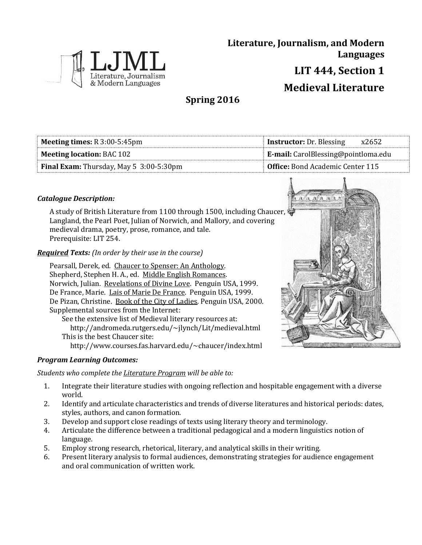

**Literature, Journalism, and Modern Languages LIT 444, Section 1 Medieval Literature**

**Spring 2016**

| <b>Meeting times:</b> $R$ 3:00-5:45pm   | <b>Instructor:</b> Dr. Blessing<br>x2652   |  |
|-----------------------------------------|--------------------------------------------|--|
| <b>Meeting location: BAC 102</b>        | <b>E-mail:</b> CarolBlessing@pointloma.edu |  |
| Final Exam: Thursday, May 5 3:00-5:30pm | <b>Office:</b> Bond Academic Center 115    |  |

# *Catalogue Description:*

A study of British Literature from 1100 through 1500, including Chaucer, Langland, the Pearl Poet, Julian of Norwich, and Mallory, and covering medieval drama, poetry, prose, romance, and tale. Prerequisite: LIT 254.

## *Required Texts: (In order by their use in the course)*

Pearsall, Derek, ed. Chaucer to Spenser: An Anthology. Shepherd, Stephen H. A., ed. Middle English Romances. Norwich, Julian. Revelations of Divine Love. Penguin USA, 1999. De France, Marie. Lais of Marie De France. Penguin USA, 1999. De Pizan, Christine. Book of the City of Ladies. Penguin USA, 2000. Supplemental sources from the Internet: See the extensive list of Medieval literary resources at: http://andromeda.rutgers.edu/~jlynch/Lit/medieval.html This is the best Chaucer site:

http://www.courses.fas.harvard.edu/~chaucer/index.html

## *Program Learning Outcomes:*

## *Students who complete the Literature Program will be able to:*

- 1. Integrate their literature studies with ongoing reflection and hospitable engagement with a diverse world.
- 2. Identify and articulate characteristics and trends of diverse literatures and historical periods: dates, styles, authors, and canon formation.
- 3. Develop and support close readings of texts using literary theory and terminology.
- 4. Articulate the difference between a traditional pedagogical and a modern linguistics notion of language.
- 5. Employ strong research, rhetorical, literary, and analytical skills in their writing.
- 6. Present literary analysis to formal audiences, demonstrating strategies for audience engagement and oral communication of written work.

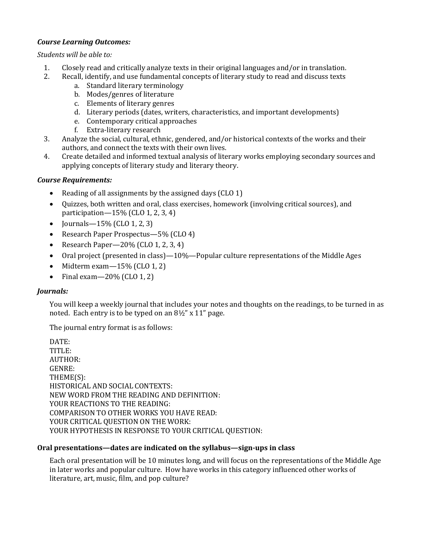# *Course Learning Outcomes:*

### *Students will be able to:*

- 1. Closely read and critically analyze texts in their original languages and/or in translation.
- 2. Recall, identify, and use fundamental concepts of literary study to read and discuss texts
	- a. Standard literary terminology
	- b. Modes/genres of literature
	- c. Elements of literary genres
	- d. Literary periods (dates, writers, characteristics, and important developments)
	- e. Contemporary critical approaches
	- f. Extra-literary research
- 3. Analyze the social, cultural, ethnic, gendered, and/or historical contexts of the works and their authors, and connect the texts with their own lives.
- 4. Create detailed and informed textual analysis of literary works employing secondary sources and applying concepts of literary study and literary theory.

# *Course Requirements:*

- Reading of all assignments by the assigned days (CLO 1)
- Quizzes, both written and oral, class exercises, homework (involving critical sources), and participation—15% (CLO 1, 2, 3, 4)
- Journals  $-15\%$  (CLO 1, 2, 3)
- Research Paper Prospectus—5% (CLO 4)
- Research Paper— $20\%$  (CLO 1, 2, 3, 4)
- Oral project (presented in class) $-10\%$ —Popular culture representations of the Middle Ages
- $\bullet$  Midterm exam  $-15\%$  (CLO 1, 2)
- Final exam  $-20\%$  (CLO 1, 2)

## *Journals:*

You will keep a weekly journal that includes your notes and thoughts on the readings, to be turned in as noted. Each entry is to be typed on an 8½" x 11" page.

The journal entry format is as follows:

DATE: TITLE: AUTHOR: GENRE: THEME(S): HISTORICAL AND SOCIAL CONTEXTS: NEW WORD FROM THE READING AND DEFINITION: YOUR REACTIONS TO THE READING: COMPARISON TO OTHER WORKS YOU HAVE READ: YOUR CRITICAL QUESTION ON THE WORK: YOUR HYPOTHESIS IN RESPONSE TO YOUR CRITICAL QUESTION:

## **Oral presentations—dates are indicated on the syllabus—sign-ups in class**

Each oral presentation will be 10 minutes long, and will focus on the representations of the Middle Age in later works and popular culture. How have works in this category influenced other works of literature, art, music, film, and pop culture?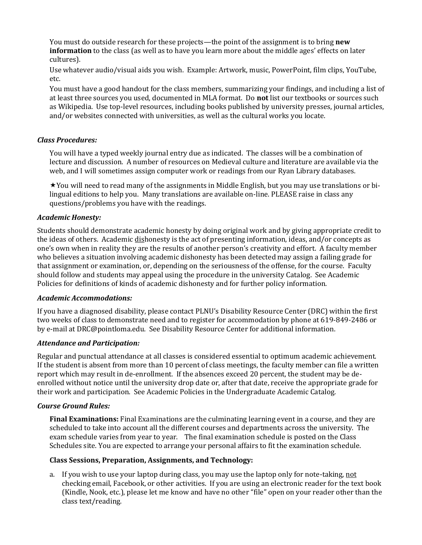You must do outside research for these projects—the point of the assignment is to bring **new information** to the class (as well as to have you learn more about the middle ages' effects on later cultures).

Use whatever audio/visual aids you wish. Example: Artwork, music, PowerPoint, film clips, YouTube, etc.

You must have a good handout for the class members, summarizing your findings, and including a list of at least three sources you used, documented in MLA format. Do **not** list our textbooks or sources such as Wikipedia. Use top-level resources, including books published by university presses, journal articles, and/or websites connected with universities, as well as the cultural works you locate.

### *Class Procedures:*

You will have a typed weekly journal entry due as indicated. The classes will be a combination of lecture and discussion. A number of resources on Medieval culture and literature are available via the web, and I will sometimes assign computer work or readings from our Ryan Library databases.

You will need to read many of the assignments in Middle English, but you may use translations or bilingual editions to help you. Many translations are available on-line. PLEASE raise in class any questions/problems you have with the readings.

### *Academic Honesty:*

Students should demonstrate academic honesty by doing original work and by giving appropriate credit to the ideas of others. Academic dishonesty is the act of presenting information, ideas, and/or concepts as one's own when in reality they are the results of another person's creativity and effort. A faculty member who believes a situation involving academic dishonesty has been detected may assign a failing grade for that assignment or examination, or, depending on the seriousness of the offense, for the course. Faculty should follow and students may appeal using the procedure in the university Catalog. See Academic Policies for definitions of kinds of academic dishonesty and for further policy information.

#### *Academic Accommodations:*

If you have a diagnosed disability, please contact PLNU's Disability Resource Center (DRC) within the first two weeks of class to demonstrate need and to register for accommodation by phone at 619-849-2486 or by e-mail at DRC@pointloma.edu. See Disability Resource Center for additional information.

#### *Attendance and Participation:*

Regular and punctual attendance at all classes is considered essential to optimum academic achievement. If the student is absent from more than 10 percent of class meetings, the faculty member can file a written report which may result in de-enrollment. If the absences exceed 20 percent, the student may be deenrolled without notice until the university drop date or, after that date, receive the appropriate grade for their work and participation. See Academic Policies in the Undergraduate Academic Catalog.

#### *Course Ground Rules:*

**Final Examinations:** Final Examinations are the culminating learning event in a course, and they are scheduled to take into account all the different courses and departments across the university. The exam schedule varies from year to year. The final examination schedule is posted on the Class Schedules site. You are expected to arrange your personal affairs to fit the examination schedule.

#### **Class Sessions, Preparation, Assignments, and Technology:**

a. If you wish to use your laptop during class, you may use the laptop only for note-taking, not checking email, Facebook, or other activities. If you are using an electronic reader for the text book (Kindle, Nook, etc.), please let me know and have no other "file" open on your reader other than the class text/reading.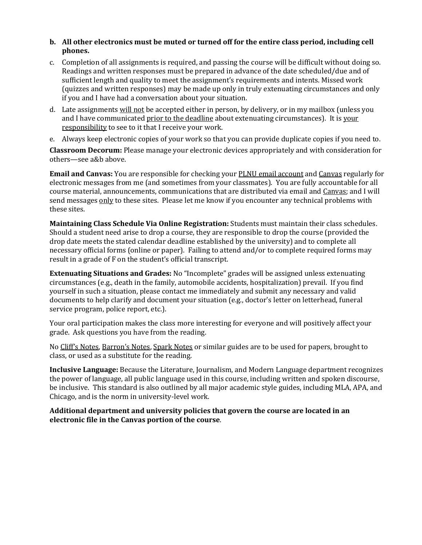### **b. All other electronics must be muted or turned off for the entire class period, including cell phones.**

- c. Completion of all assignments is required, and passing the course will be difficult without doing so. Readings and written responses must be prepared in advance of the date scheduled/due and of sufficient length and quality to meet the assignment's requirements and intents. Missed work (quizzes and written responses) may be made up only in truly extenuating circumstances and only if you and I have had a conversation about your situation.
- d. Late assignments will not be accepted either in person, by delivery, or in my mailbox (unless you and I have communicated prior to the deadline about extenuating circumstances). It is your responsibility to see to it that I receive your work.
- e. Always keep electronic copies of your work so that you can provide duplicate copies if you need to.

**Classroom Decorum:** Please manage your electronic devices appropriately and with consideration for others—see a&b above.

**Email and Canvas:** You are responsible for checking your PLNU email account and Canvas regularly for electronic messages from me (and sometimes from your classmates). You are fully accountable for all course material, announcements, communications that are distributed via email and Canvas; and I will send messages only to these sites. Please let me know if you encounter any technical problems with these sites.

**Maintaining Class Schedule Via Online Registration:** Students must maintain their class schedules. Should a student need arise to drop a course, they are responsible to drop the course (provided the drop date meets the stated calendar deadline established by the university) and to complete all necessary official forms (online or paper). Failing to attend and/or to complete required forms may result in a grade of F on the student's official transcript.

**Extenuating Situations and Grades:** No "Incomplete" grades will be assigned unless extenuating circumstances (e.g., death in the family, automobile accidents, hospitalization) prevail. If you find yourself in such a situation, please contact me immediately and submit any necessary and valid documents to help clarify and document your situation (e.g., doctor's letter on letterhead, funeral service program, police report, etc.).

Your oral participation makes the class more interesting for everyone and will positively affect your grade. Ask questions you have from the reading.

No Cliff's Notes, Barron's Notes, Spark Notes or similar guides are to be used for papers, brought to class, or used as a substitute for the reading.

**Inclusive Language:** Because the Literature, Journalism, and Modern Language department recognizes the power of language, all public language used in this course, including written and spoken discourse, be inclusive. This standard is also outlined by all major academic style guides, including MLA, APA, and Chicago, and is the norm in university-level work.

### **Additional department and university policies that govern the course are located in an electronic file in the Canvas portion of the course**.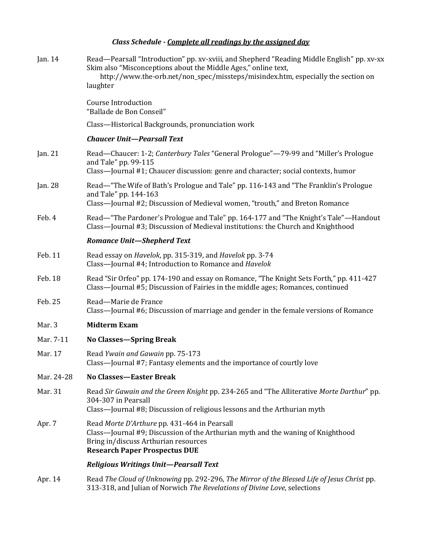# *Class Schedule - Complete all readings by the assigned day*

| Jan. 14    | Read-Pearsall "Introduction" pp. xv-xviii, and Shepherd "Reading Middle English" pp. xv-xx<br>Skim also "Misconceptions about the Middle Ages," online text,<br>http://www.the-orb.net/non_spec/missteps/misindex.htm, especially the section on<br>laughter |
|------------|--------------------------------------------------------------------------------------------------------------------------------------------------------------------------------------------------------------------------------------------------------------|
|            | <b>Course Introduction</b><br>"Ballade de Bon Conseil"                                                                                                                                                                                                       |
|            | Class-Historical Backgrounds, pronunciation work                                                                                                                                                                                                             |
|            | <b>Chaucer Unit-Pearsall Text</b>                                                                                                                                                                                                                            |
| Jan. 21    | Read—Chaucer: 1-2; Canterbury Tales "General Prologue"—79-99 and "Miller's Prologue<br>and Tale" pp. 99-115<br>Class—Journal #1; Chaucer discussion: genre and character; social contexts, humor                                                             |
| Jan. 28    | Read—"The Wife of Bath's Prologue and Tale" pp. 116-143 and "The Franklin's Prologue<br>and Tale" pp. 144-163<br>Class—Journal #2; Discussion of Medieval women, "trouth," and Breton Romance                                                                |
| Feb. 4     | Read—"The Pardoner's Prologue and Tale" pp. 164-177 and "The Knight's Tale"—Handout<br>Class—Journal #3; Discussion of Medieval institutions: the Church and Knighthood                                                                                      |
|            | <b>Romance Unit-Shepherd Text</b>                                                                                                                                                                                                                            |
| Feb. 11    | Read essay on Havelok, pp. 315-319, and Havelok pp. 3-74<br>Class-Journal #4; Introduction to Romance and Havelok                                                                                                                                            |
| Feb. 18    | Read "Sir Orfeo" pp. 174-190 and essay on Romance, "The Knight Sets Forth," pp. 411-427<br>Class-Journal #5; Discussion of Fairies in the middle ages; Romances, continued                                                                                   |
| Feb. 25    | Read-Marie de France<br>Class—Journal #6; Discussion of marriage and gender in the female versions of Romance                                                                                                                                                |
| Mar. 3     | <b>Midterm Exam</b>                                                                                                                                                                                                                                          |
| Mar. 7-11  | <b>No Classes—Spring Break</b>                                                                                                                                                                                                                               |
| Mar. 17    | Read Ywain and Gawain pp. 75-173<br>Class-Journal #7; Fantasy elements and the importance of courtly love                                                                                                                                                    |
| Mar. 24-28 | No Classes-Easter Break                                                                                                                                                                                                                                      |
| Mar. 31    | Read Sir Gawain and the Green Knight pp. 234-265 and "The Alliterative Morte Darthur" pp.<br>304-307 in Pearsall<br>Class—Journal #8; Discussion of religious lessons and the Arthurian myth                                                                 |
| Apr. 7     | Read Morte D'Arthure pp. 431-464 in Pearsall<br>Class—Journal #9; Discussion of the Arthurian myth and the waning of Knighthood<br>Bring in/discuss Arthurian resources<br><b>Research Paper Prospectus DUE</b>                                              |
|            | <b>Religious Writings Unit-Pearsall Text</b>                                                                                                                                                                                                                 |
| Apr. 14    | Read The Cloud of Unknowing pp. 292-296, The Mirror of the Blessed Life of Jesus Christ pp.                                                                                                                                                                  |

313-318, and Julian of Norwich *The Revelations of Divine Love*, selections